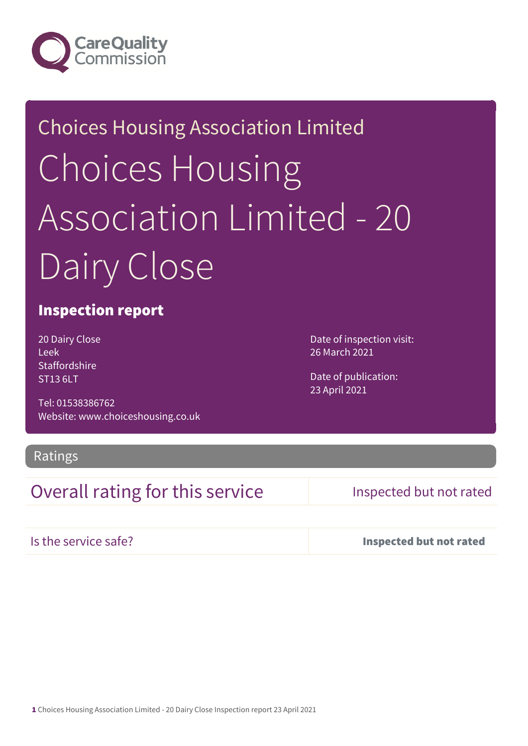

# Choices Housing Association Limited Choices Housing Association Limited - 20 Dairy Close

### Inspection report

20 Dairy Close Leek **Staffordshire** ST13 6LT

Tel: 01538386762 Website: www.choiceshousing.co.uk Date of inspection visit: 26 March 2021

Date of publication: 23 April 2021

Ratings

## Overall rating for this service Inspected but not rated

Is the service safe? Inspected but not rated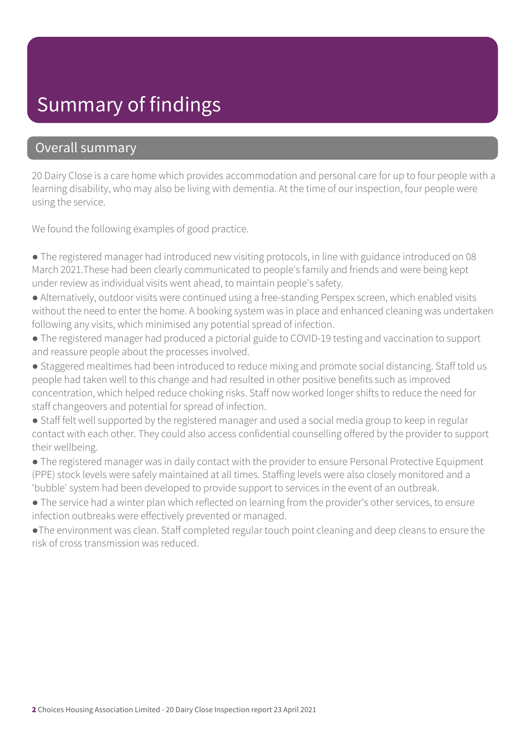## Summary of findings

### Overall summary

20 Dairy Close is a care home which provides accommodation and personal care for up to four people with a learning disability, who may also be living with dementia. At the time of our inspection, four people were using the service.

We found the following examples of good practice.

- The registered manager had introduced new visiting protocols, in line with guidance introduced on 08 March 2021.These had been clearly communicated to people's family and friends and were being kept under review as individual visits went ahead, to maintain people's safety.
- Alternatively, outdoor visits were continued using a free-standing Perspex screen, which enabled visits without the need to enter the home. A booking system was in place and enhanced cleaning was undertaken following any visits, which minimised any potential spread of infection.
- The registered manager had produced a pictorial guide to COVID-19 testing and vaccination to support and reassure people about the processes involved.
- Staggered mealtimes had been introduced to reduce mixing and promote social distancing. Staff told us people had taken well to this change and had resulted in other positive benefits such as improved concentration, which helped reduce choking risks. Staff now worked longer shifts to reduce the need for staff changeovers and potential for spread of infection.
- Staff felt well supported by the registered manager and used a social media group to keep in regular contact with each other. They could also access confidential counselling offered by the provider to support their wellbeing.
- The registered manager was in daily contact with the provider to ensure Personal Protective Equipment (PPE) stock levels were safely maintained at all times. Staffing levels were also closely monitored and a 'bubble' system had been developed to provide support to services in the event of an outbreak.
- The service had a winter plan which reflected on learning from the provider's other services, to ensure infection outbreaks were effectively prevented or managed.
- ●The environment was clean. Staff completed regular touch point cleaning and deep cleans to ensure the risk of cross transmission was reduced.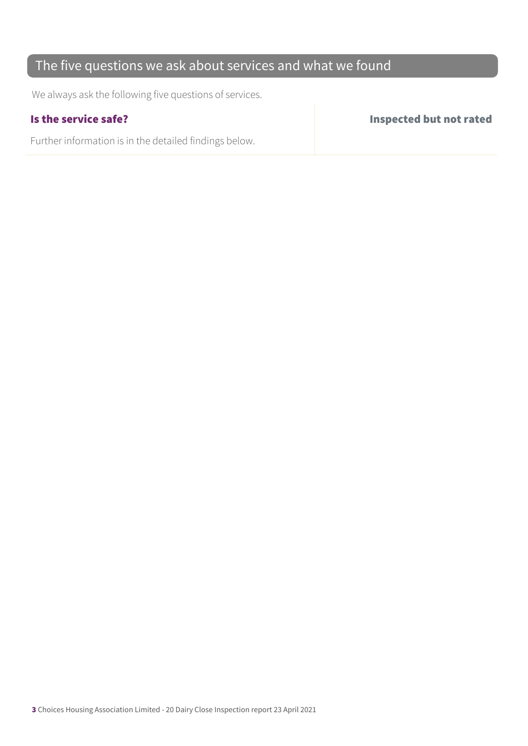## The five questions we ask about services and what we found

We always ask the following five questions of services.

Further information is in the detailed findings below.

Is the service safe? Inspected but not rated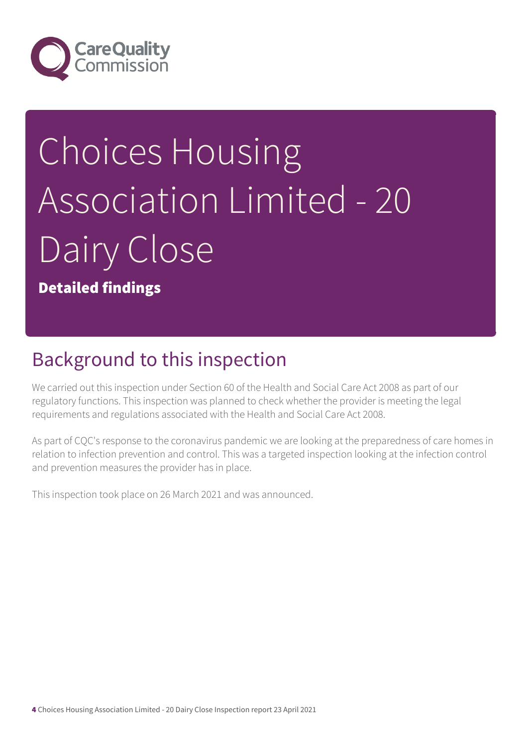

# Choices Housing Association Limited - 20 Dairy Close

Detailed findings

# Background to this inspection

We carried out this inspection under Section 60 of the Health and Social Care Act 2008 as part of our regulatory functions. This inspection was planned to check whether the provider is meeting the legal requirements and regulations associated with the Health and Social Care Act 2008.

As part of CQC's response to the coronavirus pandemic we are looking at the preparedness of care homes in relation to infection prevention and control. This was a targeted inspection looking at the infection control and prevention measures the provider has in place.

This inspection took place on 26 March 2021 and was announced.